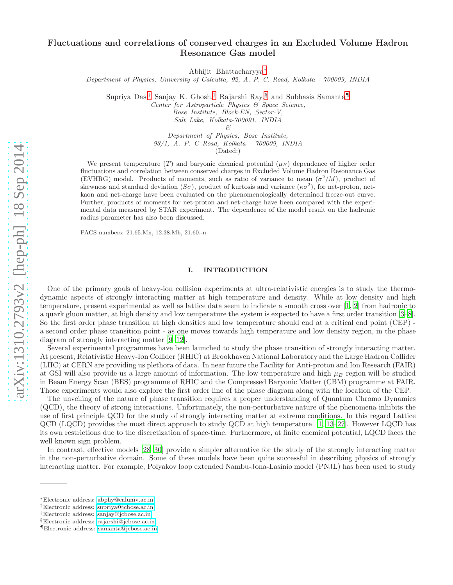# Fluctuations and correlations of conserved charges in an Excluded Volume Hadron Resonance Gas model

Abhijit Bhattacharyya[∗](#page-0-0)

Department of Physics, University of Calcutta, 92, A. P. C. Road, Kolkata - 700009, INDIA

Supriya Das,<sup>[†](#page-0-1)</sup> Sanjay K. Ghosh,<sup>[‡](#page-0-2)</sup> Rajarshi Ray,<sup>[§](#page-0-3)</sup> and Subhasis Samanta

Center for Astroparticle Physics & Space Science,

Bose Institute, Block-EN, Sector-V,

Salt Lake, Kolkata-700091, INDIA

&

Department of Physics, Bose Institute, 93/1, A. P. C Road, Kolkata - 700009, INDIA (Dated:)

We present temperature (T) and baryonic chemical potential  $(\mu_B)$  dependence of higher order fluctuations and correlation between conserved charges in Excluded Volume Hadron Resonance Gas (EVHRG) model. Products of moments, such as ratio of variance to mean  $(\sigma^2/M)$ , product of skewness and standard deviation  $(S\sigma)$ , product of kurtosis and variance  $(\kappa \sigma^2)$ , for net-proton, netkaon and net-charge have been evaluated on the phenomenologically determined freeze-out curve. Further, products of moments for net-proton and net-charge have been compared with the experimental data measured by STAR experiment. The dependence of the model result on the hadronic radius parameter has also been discussed.

PACS numbers: 21.65.Mn, 12.38.Mh, 21.60.-n

## I. INTRODUCTION

One of the primary goals of heavy-ion collision experiments at ultra-relativistic energies is to study the thermodynamic aspects of strongly interacting matter at high temperature and density. While at low density and high temperature, present experimental as well as lattice data seem to indicate a smooth cross over [\[1,](#page-17-0) [2](#page-17-1)] from hadronic to a quark gluon matter, at high density and low temperature the system is expected to have a first order transition [\[3](#page-17-2)[–8\]](#page-17-3). So the first order phase transition at high densities and low temperature should end at a critical end point (CEP) a second order phase transition point - as one moves towards high temperature and low density region, in the phase diagram of strongly interacting matter [\[9](#page-17-4)[–12](#page-17-5)].

Several experimental programmes have been launched to study the phase transition of strongly interacting matter. At present, Relativistic Heavy-Ion Collider (RHIC) at Brookhaven National Laboratory and the Large Hadron Collider (LHC) at CERN are providing us plethora of data. In near future the Facility for Anti-proton and Ion Research (FAIR) at GSI will also provide us a large amount of information. The low temperature and high  $\mu_B$  region will be studied in Beam Energy Scan (BES) programme of RHIC and the Compressed Baryonic Matter (CBM) programme at FAIR. Those experiments would also explore the first order line of the phase diagram along with the location of the CEP.

The unveiling of the nature of phase transition requires a proper understanding of Quantum Chromo Dynamics (QCD), the theory of strong interactions. Unfortunately, the non-perturbative nature of the phenomena inhibits the use of first principle QCD for the study of strongly interacting matter at extreme conditions. In this regard Lattice QCD (LQCD) provides the most direct approach to study QCD at high temperature [\[1](#page-17-0), [13](#page-17-6)[–27](#page-17-7)]. However LQCD has its own restrictions due to the discretization of space-time. Furthermore, at finite chemical potential, LQCD faces the well known sign problem.

In contrast, effective models [\[28](#page-17-8)[–30\]](#page-18-0) provide a simpler alternative for the study of the strongly interacting matter in the non-perturbative domain. Some of these models have been quite successful in describing physics of strongly interacting matter. For example, Polyakov loop extended Nambu-Jona-Lasinio model (PNJL) has been used to study

<span id="page-0-0"></span><sup>∗</sup>Electronic address: [abphy@caluniv.ac.in](mailto:abphy@caluniv.ac.in)

<span id="page-0-1"></span><sup>†</sup>Electronic address: [supriya@jcbose.ac.in](mailto:supriya@jcbose.ac.in)

<span id="page-0-2"></span><sup>‡</sup>Electronic address: [sanjay@jcbose.ac.in](mailto:sanjay@jcbose.ac.in)

<span id="page-0-3"></span><sup>§</sup>Electronic address: [rajarshi@jcbose.ac.in](mailto:rajarshi@jcbose.ac.in)

<span id="page-0-4"></span><sup>¶</sup>Electronic address: [samanta@jcbose.ac.in](mailto:samanta@jcbose.ac.in)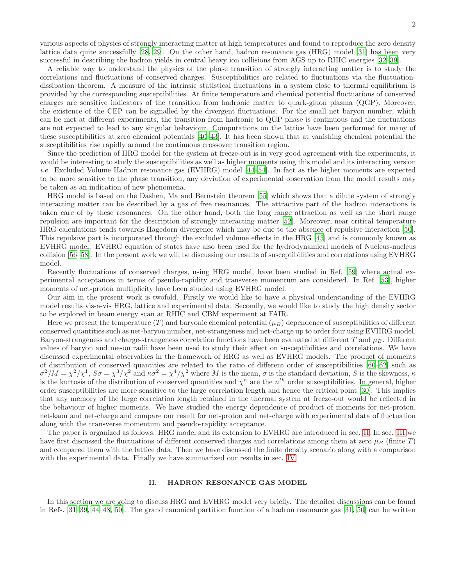various aspects of physics of strongly interacting matter at high temperatures and found to reproduce the zero density lattice data quite successfully [\[28,](#page-17-8) [29](#page-17-9)]. On the other hand, hadron resonance gas (HRG) model [\[31\]](#page-18-1) has been very successful in describing the hadron yields in central heavy ion collisions from AGS up to RHIC energies [\[32](#page-18-2)[–39](#page-18-3)].

A reliable way to understand the physics of the phase transition of strongly interacting matter is to study the correlations and fluctuations of conserved charges. Susceptibilities are related to fluctuations via the fluctuationdissipation theorem. A measure of the intrinsic statistical fluctuations in a system close to thermal equilibrium is provided by the corresponding susceptibilities. At finite temperature and chemical potential fluctuations of conserved charges are sensitive indicators of the transition from hadronic matter to quark-gluon plasma (QGP). Moreover, the existence of the CEP can be signalled by the divergent fluctuations. For the small net baryon number, which can be met at different experiments, the transition from hadronic to QGP phase is continuous and the fluctuations are not expected to lead to any singular behaviour. Computations on the lattice have been performed for many of these susceptibilities at zero chemical potentials [\[40](#page-18-4)[–43](#page-18-5)]. It has been shown that at vanishing chemical potential the susceptibilities rise rapidly around the continuous crossover transition region.

Since the prediction of HRG model for the system at freeze-out is in very good agreement with the experiments, it would be interesting to study the susceptibilities as well as higher moments using this model and its interacting version i.e. Excluded Volume Hadron resonance gas (EVHRG) model [\[44](#page-18-6)[–54](#page-18-7)]. In fact as the higher moments are expected to be more sensitive to the phase transition, any deviation of experimental observation from the model results may be taken as an indication of new phenomena.

HRG model is based on the Dashen, Ma and Bernstein theorem [\[55](#page-18-8)] which shows that a dilute system of strongly interacting matter can be described by a gas of free resonances. The attractive part of the hadron interactions is taken care of by these resonances. On the other hand, both the long range attraction as well as the short range repulsion are important for the description of strongly interacting matter [\[52\]](#page-18-9). Moreover, near critical temperature HRG calculations tends towards Hagedorn divergence which may be due to the absence of repulsive interaction [\[50\]](#page-18-10). This repulsive part is incorporated through the excluded volume effects in the HRG [\[45\]](#page-18-11) and is commonly known as EVHRG model. EVHRG equation of states have also been used for the hydrodynamical models of Nucleus-nucleus collision [\[56](#page-18-12)[–58](#page-18-13)]. In the present work we will be discussing our results of susceptibilities and correlations using EVHRG model.

Recently fluctuations of conserved charges, using HRG model, have been studied in Ref. [\[59\]](#page-18-14) where actual experimental acceptances in terms of pseudo-rapidity and transverse momentum are considered. In Ref. [\[53](#page-18-15)], higher moments of net-proton multiplicity have been studied using EVHRG model.

Our aim in the present work is twofold. Firstly we would like to have a physical understanding of the EVHRG model results vis-a-vis HRG, lattice and experimental data. Secondly, we would like to study the high density sector to be explored in beam energy scan at RHIC and CBM experiment at FAIR.

Here we present the temperature  $(T)$  and baryonic chemical potential  $(\mu_B)$  dependence of susceptibilities of different conserved quantities such as net-baryon number, net-strangeness and net-charge up to order four using EVHRG model. Baryon-strangeness and charge-strangeness correlation functions have been evaluated at different T and  $\mu_B$ . Different values of baryon and meson radii have been used to study their effect on susceptibilities and correlations. We have discussed experimental observables in the framework of HRG as well as EVHRG models. The product of moments of distribution of conserved quantities are related to the ratio of different order of susceptibilities [\[60](#page-18-16)[–62\]](#page-18-17) such as  $\sigma^2/M = \chi^2/\chi^1$ ,  $S\sigma = \chi^3/\chi^2$  and  $\kappa\sigma^2 = \chi^4/\chi^2$  where M is the mean,  $\sigma$  is the standard deviation, S is the skewness,  $\kappa$ is the kurtosis of the distribution of conserved quantities and  $\chi^n$  are the  $n^{th}$  order susceptibilities. In general, higher order susceptibilities are more sensitive to the large correlation length and hence the critical point [\[30\]](#page-18-0). This implies that any memory of the large correlation length retained in the thermal system at freeze-out would be reflected in the behaviour of higher moments. We have studied the energy dependence of product of moments for net-proton, net-kaon and net-charge and compare our result for net-proton and net-charge with experimental data of fluctuation along with the transverse momentum and pseudo-rapidity acceptance.

The paper is organized as follows. HRG model and its extension to EVHRG are introduced in sec. [II.](#page-1-0) In sec. [III](#page-4-0) we have first discussed the fluctuations of different conserved charges and correlations among them at zero  $\mu_B$  (finite T) and compared them with the lattice data. Then we have discussed the finite density scenario along with a comparison with the experimental data. Finally we have summarized our results in sec. [IV.](#page-15-0)

# <span id="page-1-0"></span>II. HADRON RESONANCE GAS MODEL

In this section we are going to discuss HRG and EVHRG model very briefly. The detailed discussions can be found in Refs. [\[31](#page-18-1)[–39](#page-18-3), [44](#page-18-6)[–48](#page-18-18), [50](#page-18-10)]. The grand canonical partition function of a hadron resonance gas [\[31,](#page-18-1) [50\]](#page-18-10) can be written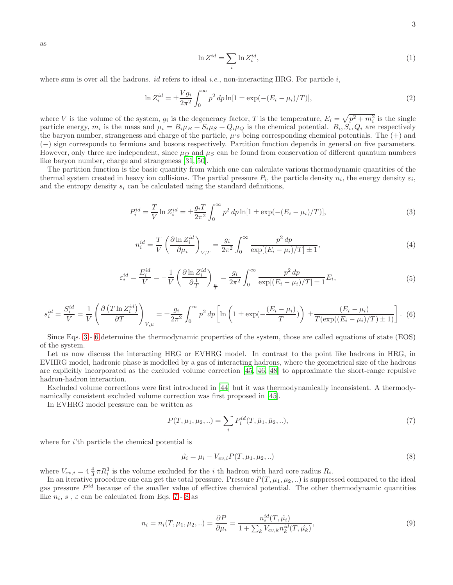as

<span id="page-2-0"></span>
$$
\ln Z^{id} = \sum_{i} \ln Z_i^{id},\tag{1}
$$

where sum is over all the hadrons. *id* refers to ideal *i.e.*, non-interacting HRG. For particle *i*,

$$
\ln Z_i^{id} = \pm \frac{V g_i}{2\pi^2} \int_0^\infty p^2 dp \ln[1 \pm \exp(-(E_i - \mu_i)/T)],\tag{2}
$$

where V is the volume of the system,  $g_i$  is the degeneracy factor, T is the temperature,  $E_i = \sqrt{p^2 + m_i^2}$  is the single particle energy,  $m_i$  is the mass and  $\mu_i = B_i \mu_B + S_i \mu_S + Q_i \mu_Q$  is the chemical potential.  $B_i, S_i, Q_i$  are respectively the baryon number, strangeness and charge of the particle,  $\mu$ 's being corresponding chemical potentials. The  $(+)$  and (−) sign corresponds to fermions and bosons respectively. Partition function depends in general on five parameters. However, only three are independent, since  $\mu_Q$  and  $\mu_S$  can be found from conservation of different quantum numbers like baryon number, charge and strangeness [\[31,](#page-18-1) [50\]](#page-18-10).

The partition function is the basic quantity from which one can calculate various thermodynamic quantities of the thermal system created in heavy ion collisions. The partial pressure  $P_i$ , the particle density  $n_i$ , the energy density  $\varepsilon_i$ , and the entropy density  $s_i$  can be calculated using the standard definitions,

$$
P_i^{id} = \frac{T}{V} \ln Z_i^{id} = \pm \frac{g_i T}{2\pi^2} \int_0^\infty p^2 dp \ln[1 \pm \exp(-(E_i - \mu_i)/T)],\tag{3}
$$

$$
n_i^{id} = \frac{T}{V} \left( \frac{\partial \ln Z_i^{id}}{\partial \mu_i} \right)_{V,T} = \frac{g_i}{2\pi^2} \int_0^\infty \frac{p^2 \, dp}{\exp[(E_i - \mu_i)/T] \pm 1},\tag{4}
$$

$$
\varepsilon_i^{id} = \frac{E_i^{id}}{V} = -\frac{1}{V} \left( \frac{\partial \ln Z_i^{id}}{\partial \frac{1}{T}} \right)_{\frac{\mu}{T}} = \frac{g_i}{2\pi^2} \int_0^\infty \frac{p^2 dp}{\exp[(E_i - \mu_i)/T] \pm 1} E_i,\tag{5}
$$

$$
s_i^{id} = \frac{S_i^{id}}{V} = \frac{1}{V} \left( \frac{\partial \left( T \ln Z_i^{id} \right)}{\partial T} \right)_{V,\mu} = \pm \frac{g_i}{2\pi^2} \int_0^\infty p^2 \, dp \left[ \ln \left( 1 \pm \exp\left( -\frac{(E_i - \mu_i)}{T} \right) \right) \pm \frac{(E_i - \mu_i)}{T(\exp\left( (E_i - \mu_i)/T \right) \pm 1)} \right]. \tag{6}
$$

Since Eqs. [3](#page-2-0) - [6](#page-2-1) determine the thermodynamic properties of the system, those are called equations of state (EOS) of the system.

Let us now discuss the interacting HRG or EVHRG model. In contrast to the point like hadrons in HRG, in EVHRG model, hadronic phase is modelled by a gas of interacting hadrons, where the geometrical size of the hadrons are explicitly incorporated as the excluded volume correction [\[45,](#page-18-11) [46](#page-18-19), [48\]](#page-18-18) to approximate the short-range repulsive hadron-hadron interaction.

Excluded volume corrections were first introduced in [\[44](#page-18-6)] but it was thermodynamically inconsistent. A thermodynamically consistent excluded volume correction was first proposed in [\[45](#page-18-11)].

In EVHRG model pressure can be written as

<span id="page-2-2"></span><span id="page-2-1"></span>
$$
P(T, \mu_1, \mu_2, ..) = \sum_{i} P_i^{id}(T, \hat{\mu}_1, \hat{\mu}_2, ..),
$$
\n(7)

where for  $i$ 'th particle the chemical potential is

<span id="page-2-3"></span>
$$
\hat{\mu}_i = \mu_i - V_{ev,i} P(T, \mu_1, \mu_2, ..)
$$
\n(8)

where  $V_{ev,i} = 4\frac{4}{3}\pi R_i^3$  is the volume excluded for the *i* th hadron with hard core radius  $R_i$ .

In an iterative procedure one can get the total pressure. Pressure  $P(T, \mu_1, \mu_2, ...)$  is suppressed compared to the ideal gas pressure  $P^{id}$  because of the smaller value of effective chemical potential. The other thermodynamic quantities like  $n_i$ ,  $s$ ,  $\varepsilon$  can be calculated from Eqs. [7](#page-2-2) - [8](#page-2-3) as

$$
n_i = n_i(T, \mu_1, \mu_2, ..) = \frac{\partial P}{\partial \mu_i} = \frac{n_i^{id}(T, \hat{\mu_i})}{1 + \sum_k V_{ev,k} n_k^{id}(T, \hat{\mu_k})},
$$
\n(9)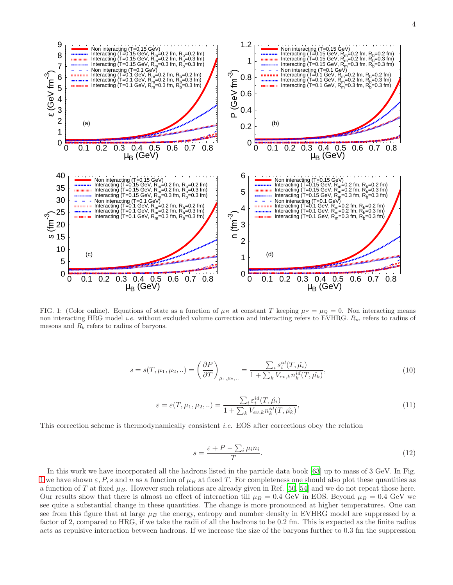

<span id="page-3-0"></span>FIG. 1: (Color online). Equations of state as a function of  $\mu_B$  at constant T keeping  $\mu_S = \mu_Q = 0$ . Non interacting means non interacting HRG model *i.e.* without excluded volume correction and interacting refers to EVHRG.  $R_m$  refers to radius of mesons and  $R_b$  refers to radius of baryons.

$$
s = s(T, \mu_1, \mu_2, \ldots) = \left(\frac{\partial P}{\partial T}\right)_{\mu_1, \mu_2, \ldots} = \frac{\sum_i s_i^{id}(T, \hat{\mu_i})}{1 + \sum_k V_{ev,k} n_k^{id}(T, \hat{\mu_k})},\tag{10}
$$

$$
\varepsilon = \varepsilon(T, \mu_1, \mu_2, ..) = \frac{\sum_i \varepsilon_i^{id}(T, \hat{\mu}_i)}{1 + \sum_k V_{ev,k} n_k^{id}(T, \hat{\mu}_k)},\tag{11}
$$

This correction scheme is thermodynamically consistent i.e. EOS after corrections obey the relation

$$
s = \frac{\varepsilon + P - \sum_{i} \mu_i n_i}{T}.\tag{12}
$$

In this work we have incorporated all the hadrons listed in the particle data book [\[63](#page-18-20)] up to mass of 3 GeV. In Fig. [1](#page-3-0) we have shown  $\varepsilon$ , P, s and n as a function of  $\mu_B$  at fixed T. For completeness one should also plot these quantities as a function of T at fixed  $\mu_B$ . However such relations are already given in Ref. [\[50,](#page-18-10) [54\]](#page-18-7) and we do not repeat those here. Our results show that there is almost no effect of interaction till  $\mu_B = 0.4$  GeV in EOS. Beyond  $\mu_B = 0.4$  GeV we see quite a substantial change in these quantities. The change is more pronounced at higher temperatures. One can see from this figure that at large  $\mu_B$  the energy, entropy and number density in EVHRG model are suppressed by a factor of 2, compared to HRG, if we take the radii of all the hadrons to be 0.2 fm. This is expected as the finite radius acts as repulsive interaction between hadrons. If we increase the size of the baryons further to 0.3 fm the suppression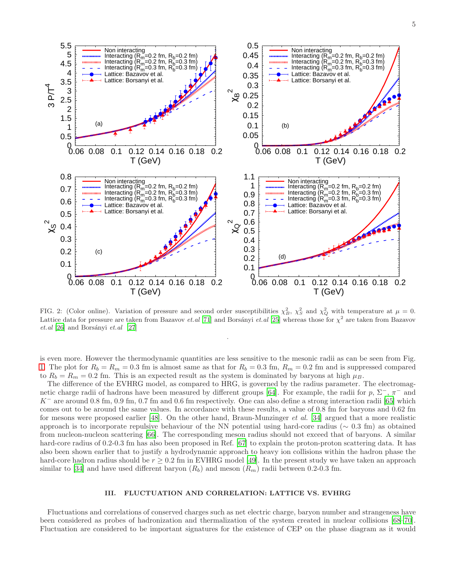<span id="page-4-3"></span>

<span id="page-4-4"></span><span id="page-4-2"></span>

<span id="page-4-1"></span>FIG. 2: (Color online). Variation of pressure and second order susceptibilities  $\chi_B^2$ ,  $\chi_S^2$  and  $\chi_Q^2$  with temperature at  $\mu = 0$ . Lattice data for pressure are taken from Bazavov *et.al* [\[71](#page-18-21)] and Borsányi *et.al* [\[25](#page-17-10)] whereas those for  $\chi^2$  are taken from Bazavov  $et. al [26]$  $et. al [26]$  $et. al [26]$  and Borsányi  $et. al [27]$  $et. al [27]$  $et. al [27]$ 

.

is even more. However the thermodynamic quantities are less sensitive to the mesonic radii as can be seen from Fig. [1.](#page-3-0) The plot for  $R_b = R_m = 0.3$  fm is almost same as that for  $R_b = 0.3$  fm,  $R_m = 0.2$  fm and is suppressed compared to  $R_b = R_m = 0.2$  fm. This is an expected result as the system is dominated by baryons at high  $\mu_B$ .

The difference of the EVHRG model, as compared to HRG, is governed by the radius parameter. The electromag-netic charge radii of hadrons have been measured by different groups [\[64](#page-18-22)]. For example, the radii for  $p, \Sigma^-, \pi^-$  and  $K^-$  are around 0.8 fm, 0.9 fm, 0.7 fm and 0.6 fm respectively. One can also define a strong interaction radii [\[65](#page-18-23)] which comes out to be around the same values. In accordance with these results, a value of 0.8 fm for baryons and 0.62 fm for mesons were proposed earlier [\[48\]](#page-18-18). On the other hand, Braun-Munzinger et al. [\[34\]](#page-18-24) argued that a more realistic approach is to incorporate repulsive behaviour of the NN potential using hard-core radius ( $\sim 0.3$  fm) as obtained from nucleon-nucleon scattering [\[66](#page-18-25)]. The corresponding meson radius should not exceed that of baryons. A similar hard-core radius of 0.2-0.3 fm has also been proposed in Ref. [\[67](#page-18-26)] to explain the proton-proton scattering data. It has also been shown earlier that to justify a hydrodynamic approach to heavy ion collisions within the hadron phase the hard-core hadron radius should be  $r \geq 0.2$  fm in EVHRG model [\[49\]](#page-18-27). In the present study we have taken an approach similar to [\[34\]](#page-18-24) and have used different baryon  $(R_b)$  and meson  $(R_m)$  radii between 0.2-0.3 fm.

# <span id="page-4-0"></span>III. FLUCTUATION AND CORRELATION: LATTICE VS. EVHRG

Fluctuations and correlations of conserved charges such as net electric charge, baryon number and strangeness have been considered as probes of hadronization and thermalization of the system created in nuclear collisions [\[68](#page-18-28)[–70\]](#page-18-29). Fluctuation are considered to be important signatures for the existence of CEP on the phase diagram as it would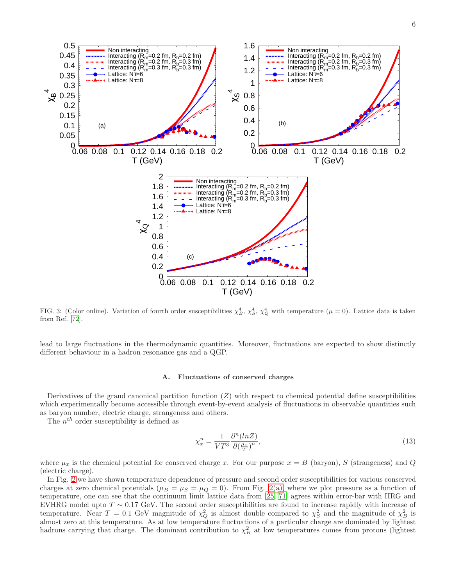

<span id="page-5-1"></span>

<span id="page-5-0"></span>FIG. 3: (Color online). Variation of fourth order susceptibilities  $\chi_B^4$ ,  $\chi_S^4$ ,  $\chi_Q^4$  with temperature ( $\mu = 0$ ). Lattice data is taken from Ref. [\[72\]](#page-18-30).

lead to large fluctuations in the thermodynamic quantities. Moreover, fluctuations are expected to show distinctly different behaviour in a hadron resonance gas and a QGP.

#### A. Fluctuations of conserved charges

Derivatives of the grand canonical partition function  $(Z)$  with respect to chemical potential define susceptibilities which experimentally become accessible through event-by-event analysis of fluctuations in observable quantities such as baryon number, electric charge, strangeness and others.

The  $n^{th}$  order susceptibility is defined as

$$
\chi_x^n = \frac{1}{VT^3} \frac{\partial^n (ln Z)}{\partial \left(\frac{\mu_x}{T}\right)^n},\tag{13}
$$

where  $\mu_x$  is the chemical potential for conserved charge x. For our purpose  $x = B$  (baryon), S (strangeness) and Q (electric charge).

In Fig. [2](#page-4-1) we have shown temperature dependence of pressure and second order susceptibilities for various conserved charges at zero chemical potentials ( $\mu_B = \mu_S = \mu_Q = 0$ ). From Fig. [2\(a\),](#page-4-2) where we plot pressure as a function of temperature, one can see that the continuum limit lattice data from [\[25,](#page-17-10) [71\]](#page-18-21) agrees within error-bar with HRG and EVHRG model upto  $T \sim 0.17$  GeV. The second order susceptibilities are found to increase rapidly with increase of temperature. Near  $T = 0.1$  GeV magnitude of  $\chi_Q^2$  is almost double compared to  $\chi_S^2$  and the magnitude of  $\chi_B^2$  is almost zero at this temperature. As at low temperature fluctuations of a particular charge are dominated by lightest hadrons carrying that charge. The dominant contribution to  $\chi_B^2$  at low temperatures comes from protons (lightest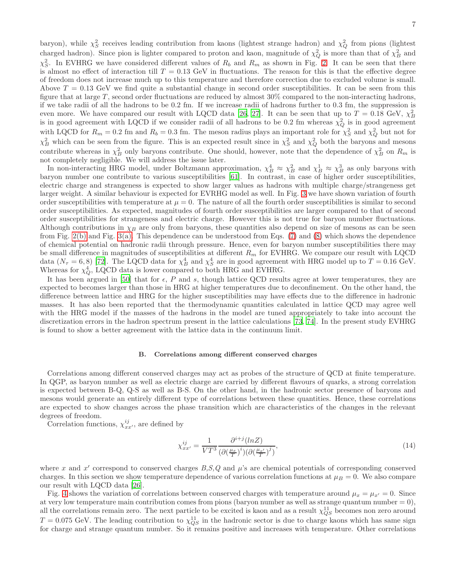baryon), while  $\chi_S^2$  receives leading contribution from kaons (lightest strange hadron) and  $\chi_Q^2$  from pions (lightest charged hadron). Since pion is lighter compared to proton and kaon, magnitude of  $\chi_Q^2$  is more than that of  $\chi_B^2$  and  $\chi^2_S$ . In EVHRG we have considered different values of  $R_b$  and  $R_m$  as shown in Fig. [2.](#page-4-1) It can be seen that there is almost no effect of interaction till  $T = 0.13$  GeV in fluctuations. The reason for this is that the effective degree of freedom does not increase much up to this temperature and therefore correction due to excluded volume is small. Above  $T = 0.13$  GeV we find quite a substantial change in second order susceptibilities. It can be seen from this figure that at large  $T$ , second order fluctuations are reduced by almost  $30\%$  compared to the non-interacting hadrons, if we take radii of all the hadrons to be 0.2 fm. If we increase radii of hadrons further to 0.3 fm, the suppression is even more. We have compared our result with LQCD data [\[26,](#page-17-11) [27\]](#page-17-7). It can be seen that up to  $T = 0.18 \text{ GeV}, \chi^2_B$ is in good agreement with LQCD if we consider radii of all hadrons to be 0.2 fm whereas  $\chi_Q^2$  is in good agreement with LQCD for  $R_m = 0.2$  fm and  $R_b = 0.3$  fm. The meson radius plays an important role for  $\chi^2_S$  and  $\chi^2_Q$  but not for  $\chi_B^2$  which can be seen from the figure. This is an expected result since in  $\chi_S^2$  and  $\chi_Q^2$  both the baryons and mesons contribute whereas in  $\chi_B^2$  only baryons contribute. One should, however, note that the dependence of  $\chi_B^2$  on  $R_m$  is not completely negligible. We will address the issue later.

In non-interacting HRG model, under Boltzmann approximation,  $\chi_B^4 \approx \chi_B^2$  and  $\chi_B^1 \approx \chi_B^3$  as only baryons with baryon number one contribute to various susceptibilities [\[61\]](#page-18-31). In contrast, in case of higher order susceptibilities, electric charge and strangeness is expected to show larger values as hadrons with multiple charge/strangeness get larger weight. A similar behaviour is expected for EVRHG model as well. In Fig. [3](#page-5-0) we have shown variation of fourth order susceptibilities with temperature at  $\mu = 0$ . The nature of all the fourth order susceptibilities is similar to second order susceptibilities. As expected, magnitudes of fourth order susceptibilities are larger compared to that of second order susceptibilities for strangeness and electric charge. However this is not true for baryon number fluctuations. Although contributions in  $\chi_B$  are only from baryons, these quantities also depend on size of mesons as can be seen from Fig. [2\(b\)](#page-4-3) and Fig. [3\(a\).](#page-5-1) This dependence can be understood from Eqs. [\(7\)](#page-2-2) and [\(8\)](#page-2-3) which shows the dependence of chemical potential on hadronic radii through pressure. Hence, even for baryon number susceptibilities there may be small difference in magnitudes of susceptibilities at different  $R_m$  for EVHRG. We compare our result with LQCD data  $(N_{\tau} = 6, 8)$  [\[72](#page-18-30)]. The LQCD data for  $\chi_B^4$  and  $\chi_S^4$  are in good agreement with HRG model up to  $T = 0.16$  GeV. Whereas for  $\chi^4_Q$ , LQCD data is lower compared to both HRG and EVHRG.

It has been argued in [\[50](#page-18-10)] that for  $\epsilon$ , P and s, though lattice QCD results agree at lower temperatures, they are expected to becomes larger than those in HRG at higher temperatures due to deconfinement. On the other hand, the difference between lattice and HRG for the higher susceptibilities may have effects due to the difference in hadronic masses. It has also been reported that the thermodynamic quantities calculated in lattice QCD may agree well with the HRG model if the masses of the hadrons in the model are tuned appropriately to take into account the discretization errors in the hadron spectrum present in the lattice calculations [\[73,](#page-18-32) [74\]](#page-18-33). In the present study EVHRG is found to show a better agreement with the lattice data in the continuum limit.

#### B. Correlations among different conserved charges

Correlations among different conserved charges may act as probes of the structure of QCD at finite temperature. In QGP, as baryon number as well as electric charge are carried by different flavours of quarks, a strong correlation is expected between B-Q, Q-S as well as B-S. On the other hand, in the hadronic sector presence of baryons and mesons would generate an entirely different type of correlations between these quantities. Hence, these correlations are expected to show changes across the phase transition which are characteristics of the changes in the relevant degrees of freedom.

Correlation functions,  $\chi_{xx'}^{ij}$ , are defined by

$$
\chi_{xx'}^{ij} = \frac{1}{VT^3} \frac{\partial^{i+j}(\ln Z)}{(\partial(\frac{\mu_x}{T})^i)(\partial(\frac{\mu_{x'}}{T})^j)},\tag{14}
$$

where x and  $x'$  correspond to conserved charges  $B, S, Q$  and  $\mu$ 's are chemical potentials of corresponding conserved charges. In this section we show temperature dependence of various correlation functions at  $\mu_B = 0$ . We also compare our result with LQCD data [\[26\]](#page-17-11).

Fig. [4](#page-7-0) shows the variation of correlations between conserved charges with temperature around  $\mu_x = \mu_{x'} = 0$ . Since at very low temperature main contribution comes from pions (baryon number as well as strange quantum number  $= 0$ ), all the correlations remain zero. The next particle to be excited is kaon and as a result  $\chi^{11}_{QS}$  becomes non zero around  $T = 0.075$  GeV. The leading contribution to  $\chi_{QS}^{11}$  in the hadronic sector is due to charge kaons which has same sign for charge and strange quantum number. So it remains positive and increases with temperature. Other correlations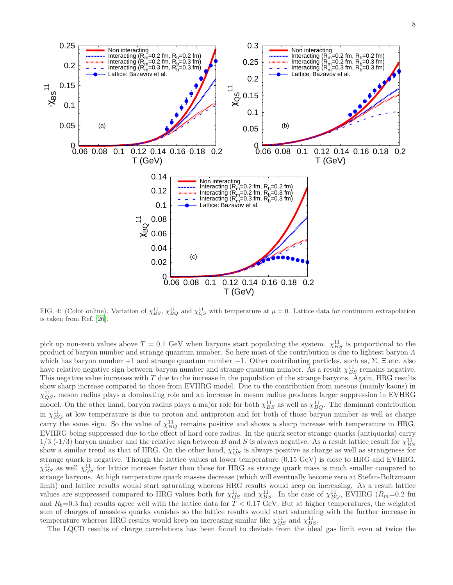<span id="page-7-1"></span>

<span id="page-7-0"></span>FIG. 4: (Color online). Variation of  $\chi_{BS}^{11}$ ,  $\chi_{BQ}^{11}$  and  $\chi_{QS}^{11}$  with temperature at  $\mu = 0$ . Lattice data for continuum extrapolation is taken from Ref. [\[26](#page-17-11)].

pick up non-zero values above  $T = 0.1$  GeV when baryons start populating the system.  $\chi^{11}_{BS}$  is proportional to the product of baryon number and strange quantum number. So here most of the contribution is due to lightest baryon Λ which has baryon number +1 and strange quantum number -1. Other contributing particles, such as,  $\Sigma$ ,  $\Xi$  etc. also have relative negative sign between baryon number and strange quantum number. As a result  $\chi_{BS}^{11}$  remains negative. This negative value increases with T due to the increase in the population of the strange baryons. Again, HRG results show sharp increase compared to those from EVHRG model. Due to the contribution from mesons (mainly kaons) in  $\chi_{QS}^{11}$ , meson radius plays a dominating role and an increase in meson radius produces larger suppression in EVHRG model. On the other hand, baryon radius plays a major role for both  $\chi^{11}_{BS}$  as well as  $\chi^{11}_{BQ}$ . The dominant contribution in  $\chi_{BQ}^{11}$  at low temperature is due to proton and antiproton and for both of those baryon number as well as charge carry the same sign. So the value of  $\chi_{BQ}^{11}$  remains positive and shows a sharp increase with temperature in HRG, EVHRG being suppressed due to the effect of hard core radius. In the quark sector strange quarks (antiquarks) carry 1/3 (-1/3) baryon number and the relative sign between B and S is always negative. As a result lattice result for  $\chi^{11}_{BS}$ show a similar trend as that of HRG. On the other hand,  $\chi_{QS}^{11}$  is always positive as charge as well as strangeness for strange quark is negative. Though the lattice values at lower temperature (0.15 GeV) is close to HRG and EVHRG,  $\chi_{BS}^{11}$  as well  $\chi_{QS}^{11}$  for lattice increase faster than those for HRG as strange quark mass is much smaller compared to strange baryons. At high temperature quark masses decrease (which will eventually become zero at Stefan-Boltzmann limit) and lattice results would start saturating whereas HRG results would keep on increasing. As a result lattice values are suppressed compared to HRG values both for  $\chi_{QS}^{11}$  and  $\chi_{BS}^{11}$ . In the case of  $\chi_{BQ}^{11}$ , EVHRG ( $R_m$ =0.2 fm and  $R_b=0.3$  fm) results agree well with the lattice data for  $T < 0.17$  GeV. But at higher temperatures, the weighted sum of charges of massless quarks vanishes so the lattice results would start saturating with the further increase in temperature whereas HRG results would keep on increasing similar like  $\chi_{QS}^{11}$  and  $\chi_{BS}^{11}$ .

The LQCD results of charge correlations has been found to deviate from the ideal gas limit even at twice the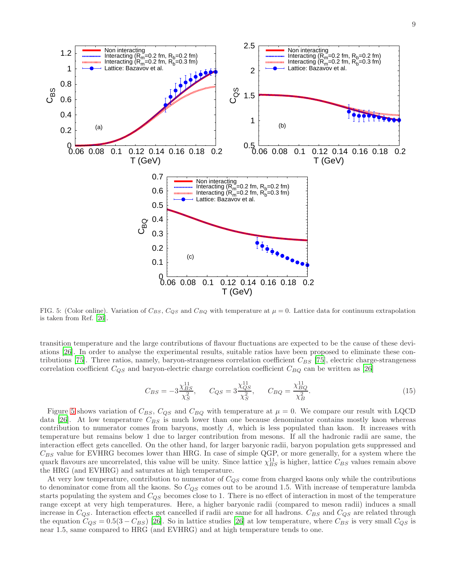<span id="page-8-1"></span>

<span id="page-8-0"></span>FIG. 5: (Color online). Variation of  $C_{BS}$ ,  $C_{QS}$  and  $C_{BQ}$  with temperature at  $\mu = 0$ . Lattice data for continuum extrapolation is taken from Ref. [\[26](#page-17-11)].

transition temperature and the large contributions of flavour fluctuations are expected to be the cause of these deviations [\[26\]](#page-17-11). In order to analyse the experimental results, suitable ratios have been proposed to eliminate these con-tributions [\[75\]](#page-18-34). Three ratios, namely, baryon-strangeness correlation coefficient  $C_{BS}$  [\[75\]](#page-18-34), electric charge-strangeness correlation coefficient  $C_{QS}$  and baryon-electric charge correlation coefficient  $C_{BQ}$  can be written as [\[26\]](#page-17-11)

$$
C_{BS} = -3\frac{\chi_{BS}^{11}}{\chi_S^2}, \qquad C_{QS} = 3\frac{\chi_{QS}^{11}}{\chi_S^2}, \qquad C_{BQ} = \frac{\chi_{BQ}^{11}}{\chi_B^2}.
$$
 (15)

Figure [5](#page-8-0) shows variation of  $C_{BS}$ ,  $C_{QS}$  and  $C_{BQ}$  with temperature at  $\mu = 0$ . We compare our result with LQCD data [\[26\]](#page-17-11). At low temperature  $C_{BS}$  is much lower than one because denominator contains mostly kaon whereas contribution to numerator comes from baryons, mostly  $\Lambda$ , which is less populated than kaon. It increases with temperature but remains below 1 due to larger contribution from mesons. If all the hadronic radii are same, the interaction effect gets cancelled. On the other hand, for larger baryonic radii, baryon population gets suppressed and  $C_{BS}$  value for EVHRG becomes lower than HRG. In case of simple QGP, or more generally, for a system where the quark flavours are uncorrelated, this value will be unity. Since lattice  $\chi^{11}_{BS}$  is higher, lattice  $C_{BS}$  values remain above the HRG (and EVHRG) and saturates at high temperature.

At very low temperature, contribution to numerator of  $C_{QS}$  come from charged kaons only while the contributions to denominator come from all the kaons. So  $C_{QS}$  comes out to be around 1.5. With increase of temperature lambda starts populating the system and  $C_{QS}$  becomes close to 1. There is no effect of interaction in most of the temperature range except at very high temperatures. Here, a higher baryonic radii (compared to meson radii) induces a small increase in  $C_{QS}$ . Interaction effects get cancelled if radii are same for all hadrons.  $C_{BS}$  and  $C_{QS}$  are related through the equation  $C_{QS} = 0.5(3 - C_{BS})$  [\[26\]](#page-17-11). So in lattice studies [26] at low temperature, where  $C_{BS}$  is very small  $C_{QS}$  is near 1.5, same compared to HRG (and EVHRG) and at high temperature tends to one.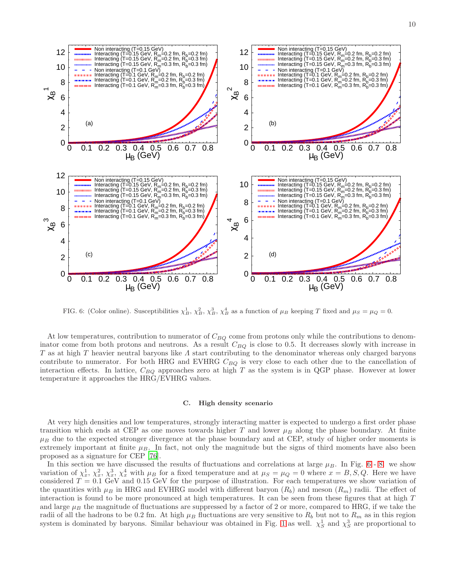



<span id="page-9-0"></span>FIG. 6: (Color online). Susceptibilities  $\chi_B^1$ ,  $\chi_B^2$ ,  $\chi_B^3$ ,  $\chi_B^4$  as a function of  $\mu_B$  keeping T fixed and  $\mu_S = \mu_Q = 0$ .

At low temperatures, contribution to numerator of  $C_{BO}$  come from protons only while the contributions to denominator come from both protons and neutrons. As a result  $C_{BQ}$  is close to 0.5. It decreases slowly with increase in T as at high T heavier neutral baryons like  $\Lambda$  start contributing to the denominator whereas only charged baryons contribute to numerator. For both HRG and EVHRG  $C_{BQ}$  is very close to each other due to the cancellation of interaction effects. In lattice,  $C_{BO}$  approaches zero at high T as the system is in QGP phase. However at lower temperature it approaches the HRG/EVHRG values.

#### C. High density scenario

At very high densities and low temperatures, strongly interacting matter is expected to undergo a first order phase transition which ends at CEP as one moves towards higher T and lower  $\mu_B$  along the phase boundary. At finite  $\mu_B$  due to the expected stronger divergence at the phase boundary and at CEP, study of higher order moments is extremely important at finite  $\mu_B$ . In fact, not only the magnitude but the signs of third moments have also been proposed as a signature for CEP [\[76](#page-18-35)].

In this section we have discussed the results of fluctuations and correlations at large  $\mu_B$ . In Fig. [6](#page-9-0) - [8.](#page-11-0) we show variation of  $\chi_x^1$ ,  $\chi_x^2$ ,  $\chi_x^3$ ,  $\chi_x^4$  with  $\mu_B$  for a fixed temperature and at  $\mu_S = \mu_Q = 0$  where  $x = B, S, Q$ . Here we have considered  $T = 0.1$  GeV and 0.15 GeV for the purpose of illustration. For each temperatures we show variation of the quantities with  $\mu_B$  in HRG and EVHRG model with different baryon  $(R_b)$  and meson  $(R_m)$  radii. The effect of interaction is found to be more pronounced at high temperatures. It can be seen from these figures that at high T and large  $\mu_B$  the magnitude of fluctuations are suppressed by a factor of 2 or more, compared to HRG, if we take the radii of all the hadrons to be 0.2 fm. At high  $\mu_B$  fluctuations are very sensitive to  $R_b$  but not to  $R_m$  as in this region system is dominated by baryons. Similar behaviour was obtained in Fig. [1](#page-3-0) as well.  $\chi^1_S$  and  $\chi^3_S$  are proportional to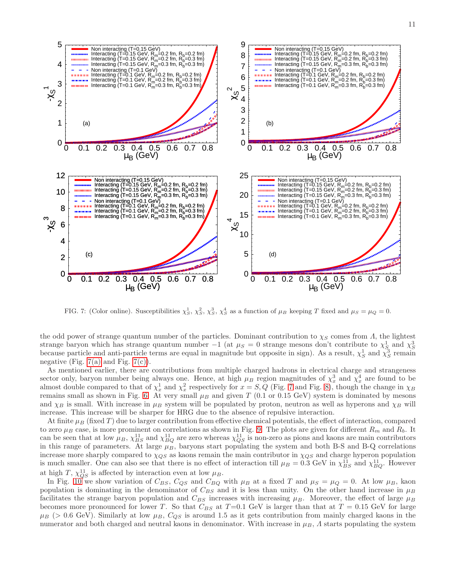<span id="page-10-1"></span><span id="page-10-0"></span>

<span id="page-10-2"></span>FIG. 7: (Color online). Susceptibilities  $\chi^1_S$ ,  $\chi^2_S$ ,  $\chi^3_S$ ,  $\chi^4_S$  as a function of  $\mu_B$  keeping T fixed and  $\mu_S = \mu_Q = 0$ .

the odd power of strange quantum number of the particles. Dominant contribution to  $\chi_S$  comes from Λ, the lightest strange baryon which has strange quantum number  $-1$  (at  $\mu_S = 0$  strange mesons don't contribute to  $\chi_{S_2}^1$  and  $\chi_{S_3}^3$ because particle and anti-particle terms are equal in magnitude but opposite in sign). As a result,  $\chi^1_S$  and  $\chi^3_S$  remain negative (Fig.  $7(a)$  and Fig.  $7(c)$ ).

As mentioned earlier, there are contributions from multiple charged hadrons in electrical charge and strangeness sector only, baryon number being always one. Hence, at high  $\mu_B$  region magnitudes of  $\chi_x^3$  and  $\chi_x^4$  are found to be almost double compared to that of  $\chi^1_x$  and  $\chi^2_x$  respectively for  $x = S, Q$  (Fig. [7](#page-10-2) and Fig. [8\)](#page-11-0), though the change in  $\chi_B$ remains small as shown in Fig. [6.](#page-9-0) At very small  $\mu_B$  and given T (0.1 or 0.15 GeV) system is dominated by mesons and  $\chi_B$  is small. With increase in  $\mu_B$  system will be populated by proton, neutron as well as hyperons and  $\chi_B$  will increase. This increase will be sharper for HRG due to the absence of repulsive interaction.

At finite  $\mu_B$  (fixed T) due to larger contribution from effective chemical potentials, the effect of interaction, compared to zero  $\mu_B$  case, is more prominent on correlations as shown in Fig. [9.](#page-12-0) The plots are given for different  $R_m$  and  $R_b$ . It can be seen that at low  $\mu_B$ ,  $\chi_{BS}^{11}$  and  $\chi_{BQ}^{11}$  are zero whereas  $\chi_{QS}^{11}$  is non-zero as pions and kaons are main contributors in this range of parameters. At large  $\mu_B$ , baryons start populating the system and both B-S and B-Q correlations increase more sharply compared to  $\chi_{QS}$  as kaons remain the main contributor in  $\chi_{QS}$  and charge hyperon population is much smaller. One can also see that there is no effect of interaction till  $\mu_B = 0.3$  GeV in  $\chi_{BS}^{11}$  and  $\chi_{BQ}^{11}$ . However at high T,  $\chi_{QS}^{11}$  is affected by interaction even at low  $\mu_B$ .

In Fig. [10](#page-13-0) we show variation of  $C_{BS}$ ,  $C_{QS}$  and  $C_{BQ}$  with  $\mu_B$  at a fixed T and  $\mu_S = \mu_Q = 0$ . At low  $\mu_B$ , kaon population is dominating in the denominator of  $C_{BS}$  and it is less than unity. On the other hand increase in  $\mu_B$ facilitates the strange baryon population and  $C_{BS}$  increases with increasing  $\mu_B$ . Moreover, the effect of large  $\mu_B$ becomes more pronounced for lower T. So that  $C_{BS}$  at T=0.1 GeV is larger than that at T = 0.15 GeV for large  $\mu_B$  (> 0.6 GeV). Similarly at low  $\mu_B$ ,  $C_{QS}$  is around 1.5 as it gets contribution from mainly charged kaons in the numerator and both charged and neutral kaons in denominator. With increase in  $\mu_B$ ,  $\Lambda$  starts populating the system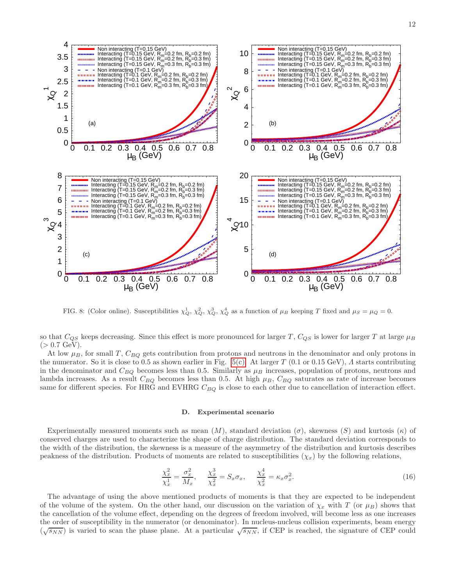



<span id="page-11-0"></span>FIG. 8: (Color online). Susceptibilities  $\chi_Q^1$ ,  $\chi_Q^2$ ,  $\chi_Q^3$ ,  $\chi_Q^4$  as a function of  $\mu_B$  keeping T fixed and  $\mu_S = \mu_Q = 0$ .

so that  $C_{QS}$  keeps decreasing. Since this effect is more pronounced for larger T,  $C_{QS}$  is lower for larger T at large  $\mu_B$  $(> 0.7 \text{ GeV}).$ 

At low  $\mu_B$ , for small T,  $C_{BO}$  gets contribution from protons and neutrons in the denominator and only protons in the numerator. So it is close to 0.5 as shown earlier in Fig. [5\(c\).](#page-8-1) At larger  $T$  (0.1 or 0.15 GeV),  $\Lambda$  starts contributing in the denominator and  $C_{BQ}$  becomes less than 0.5. Similarly as  $\mu_B$  increases, population of protons, neutrons and lambda increases. As a result  $C_{BQ}$  becomes less than 0.5. At high  $\mu_B$ ,  $C_{BQ}$  saturates as rate of increase becomes same for different species. For HRG and EVHRG  $C_{BQ}$  is close to each other due to cancellation of interaction effect.

#### D. Experimental scenario

Experimentally measured moments such as mean  $(M)$ , standard deviation  $(\sigma)$ , skewness  $(S)$  and kurtosis  $(\kappa)$  of conserved charges are used to characterize the shape of charge distribution. The standard deviation corresponds to the width of the distribution, the skewness is a measure of the asymmetry of the distribution and kurtosis describes peakness of the distribution. Products of moments are related to susceptibilities  $(\chi_x)$  by the following relations,

<span id="page-11-1"></span>
$$
\frac{\chi_x^2}{\chi_x^1} = \frac{\sigma_x^2}{M_x}, \quad \frac{\chi_x^3}{\chi_x^2} = S_x \sigma_x, \quad \frac{\chi_x^4}{\chi_x^2} = \kappa_x \sigma_x^2.
$$
\n(16)

The advantage of using the above mentioned products of moments is that they are expected to be independent of the volume of the system. On the other hand, our discussion on the variation of  $\chi_x$  with T (or  $\mu_B$ ) shows that the cancellation of the volume effect, depending on the degrees of freedom involved, will become less as one increases the order of susceptibility in the numerator (or denominator). In nucleus-nucleus collision experiments, beam energy  $(\sqrt{s_{NN}})$  is varied to scan the phase plane. At a particular  $\sqrt{s_{NN}}$ , if CEP is reached, the signature of CEP could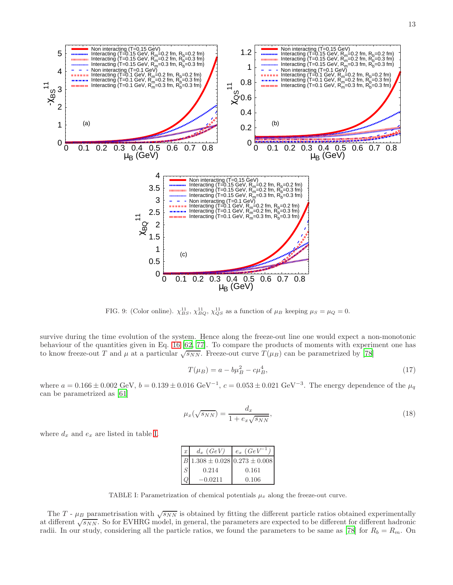

<span id="page-12-0"></span>FIG. 9: (Color online).  $\chi_{BS}^{11}, \chi_{BQ}^{11}, \chi_{QS}^{11}$  as a function of  $\mu_B$  keeping  $\mu_S = \mu_Q = 0$ .

survive during the time evolution of the system. Hence along the freeze-out line one would expect a non-monotonic behaviour of the quantities given in Eq. [16](#page-11-1) [\[62,](#page-18-17) [77\]](#page-18-36). To compare the products of moments with experiment one has to know freeze-out T and  $\mu$  at a particular  $\sqrt{s_{NN}}$ . Freeze-out curve  $T(\mu_B)$  can be parametrized by [\[78](#page-18-37)]

$$
T(\mu_B) = a - b\mu_B^2 - c\mu_B^4,\tag{17}
$$

where  $a = 0.166 \pm 0.002$  GeV,  $b = 0.139 \pm 0.016$  GeV<sup>-1</sup>,  $c = 0.053 \pm 0.021$  GeV<sup>-3</sup>. The energy dependence of the  $\mu_q$ can be parametrized as [\[61](#page-18-31)]

$$
\mu_x(\sqrt{s_{NN}}) = \frac{d_x}{1 + e_x \sqrt{s_{NN}}},\tag{18}
$$

where  $d_x$  and  $e_x$  are listed in table [I.](#page-12-1)

| $x \mid$ | $d_x(GeV)$ | $e_x(GeV^{-1})$                                      |
|----------|------------|------------------------------------------------------|
|          |            | $B\vert 1.308 \pm 0.028 \vert 0.273 \pm 0.008 \vert$ |
| S        | 0.214      | 0.161                                                |
|          | $-0.0211$  | 0.106                                                |

<span id="page-12-1"></span>TABLE I: Parametrization of chemical potentials  $\mu_x$  along the freeze-out curve.

The T -  $\mu_B$  parametrisation with  $\sqrt{s_{NN}}$  is obtained by fitting the different particle ratios obtained experimentally at different  $\sqrt{s_{NN}}$ . So for EVHRG model, in general, the parameters are expected to be different for different hadronic radii. In our study, considering all the particle ratios, we found the parameters to be same as [\[78\]](#page-18-37) for  $R_b = R_m$ . On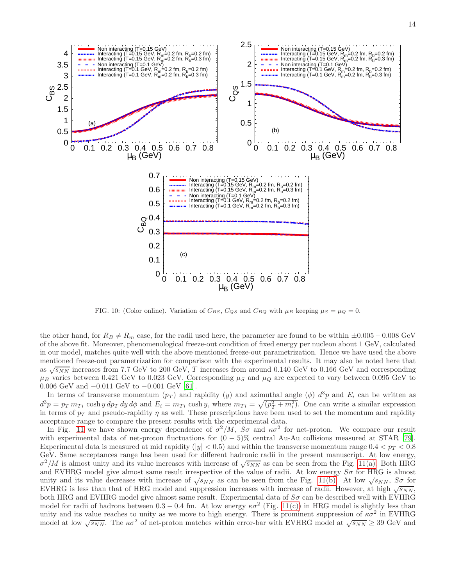

<span id="page-13-0"></span>FIG. 10: (Color online). Variation of  $C_{BS}$ ,  $C_{QS}$  and  $C_{BQ}$  with  $\mu_B$  keeping  $\mu_S = \mu_Q = 0$ .

the other hand, for  $R_B \neq R_m$  case, for the radii used here, the parameter are found to be within  $\pm 0.005 - 0.008$  GeV of the above fit. Moreover, phenomenological freeze-out condition of fixed energy per nucleon about 1 GeV, calculated in our model, matches quite well with the above mentioned freeze-out parametrization. Hence we have used the above mentioned freeze-out parametrization for comparison with the experimental results. It may also be noted here that as  $\sqrt{s_{NN}}$  increases from 7.7 GeV to 200 GeV, T increases from around 0.140 GeV to 0.166 GeV and corresponding  $\mu_B$  varies between 0.421 GeV to 0.023 GeV. Corresponding  $\mu_S$  and  $\mu_Q$  are expected to vary between 0.095 GeV to 0.006 GeV and −0.011 GeV to −0.001 GeV [\[61\]](#page-18-31).

In terms of transverse momentum  $(p_T)$  and rapidity  $(y)$  and azimuthal angle  $(\phi)$   $d^3p$  and  $E_i$  can be written as  $d^3p = p_T m_{Ti} \cosh y dp_T dy d\phi$  and  $E_i = m_{Ti} \cosh y$ , where  $m_{Ti} = \sqrt{(p_T^2 + m_i^2)}$ . One can write a similar expression in terms of  $p_T$  and pseudo-rapidity  $\eta$  as well. These prescriptions have been used to set the momentum and rapidity acceptance range to compare the present results with the experimental data.

In Fig. [11](#page-14-0) we have shown energy dependence of  $\sigma^2/M$ ,  $S\sigma$  and  $\kappa\sigma^2$  for net-proton. We compare our result with experimental data of net-proton fluctuations for  $(0 - 5)$ % central Au-Au collisions measured at STAR [\[79\]](#page-18-38). Experimental data is measured at mid rapidity (|y|  $< 0.5$ ) and within the transverse momentum range  $0.4 < p_T < 0.8$ GeV. Same acceptances range has been used for different hadronic radii in the present manuscript. At low energy,  $\sigma^2/M$  is almost unity and its value increases with increase of  $\sqrt{s_{NN}}$  as can be seen from the Fig. [11\(a\).](#page-14-1) Both HRG and EVHRG model give almost same result irrespective of the value of radii. At low energy  $S\sigma$  for HRG is almost unity and its value decreases with increase of  $\sqrt{s_{NN}}$  as can be seen from the Fig. [11\(b\).](#page-14-2) At low  $\sqrt{s_{NN}}$ ,  $S\sigma$  for EVHRG is less than that of HRG model and suppression increases with increase of radii. However, at high  $\sqrt{s_{NN}}$ , both HRG and EVHRG model give almost same result. Experimental data of  $S\sigma$  can be described well with EVHRG model for radii of hadrons between  $0.3 - 0.4$  fm. At low energy  $\kappa \sigma^2$  (Fig. [11\(c\)\)](#page-14-3) in HRG model is slightly less than unity and its value reaches to unity as we move to high energy. There is prominent suppression of  $\kappa \sigma^2$  in EVHRG model at low  $\sqrt{s_{NN}}$ . The  $\kappa \sigma^2$  of net-proton matches within error-bar with EVHRG model at  $\sqrt{s_{NN}} \geq 39$  GeV and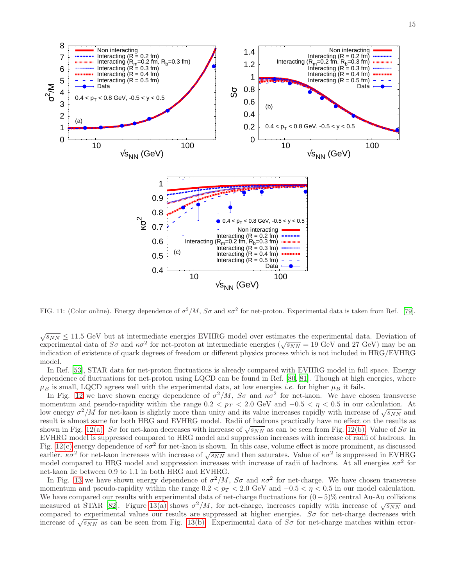<span id="page-14-2"></span><span id="page-14-1"></span>

<span id="page-14-3"></span><span id="page-14-0"></span>FIG. 11: (Color online). Energy dependence of  $\sigma^2/M$ ,  $S\sigma$  and  $\kappa\sigma^2$  for net-proton. Experimental data is taken from Ref. [\[79\]](#page-18-38).

 $\sqrt{s_{NN}} \leq 11.5$  GeV but at intermediate energies EVHRG model over estimates the experimental data. Deviation of experimental data of  $S\sigma$  and  $\kappa\sigma^2$  for net-proton at intermediate energies ( $\sqrt{s_{NN}} = 19$  GeV and 27 GeV) may be an indication of existence of quark degrees of freedom or different physics process which is not included in HRG/EVHRG model.

In Ref. [\[53\]](#page-18-15), STAR data for net-proton fluctuations is already compared with EVHRG model in full space. Energy dependence of fluctuations for net-proton using LQCD can be found in Ref. [\[80](#page-18-39), [81](#page-18-40)]. Though at high energies, where  $\mu_B$  is small, LQCD agrees well with the experimental data, at low energies *i.e.* for higher  $\mu_B$  it fails.

In Fig. [12](#page-15-1) we have shown energy dependence of  $\sigma^2/M$ ,  $S\sigma$  and  $\kappa\sigma^2$  for net-kaon. We have chosen transverse momentum and pseudo-rapidity within the range  $0.2 < p_T < 2.0$  GeV and  $-0.5 < \eta < 0.5$  in our calculation. At low energy  $\sigma^2/M$  for net-kaon is slightly more than unity and its value increases rapidly with increase of  $\sqrt{s_{NN}}$  and result is almost same for both HRG and EVHRG model. Radii of hadrons practically have no effect on the results as shown in Fig. [12\(a\).](#page-15-2) So for net-kaon decreases with increase of  $\sqrt{s_{NN}}$  as can be seen from Fig. [12\(b\).](#page-15-3) Value of So in EVHRG model is suppressed compared to HRG model and suppression increases with increase of radii of hadrons. In Fig. [12\(c\)](#page-15-4) energy dependence of  $\kappa \sigma^2$  for net-kaon is shown. In this case, volume effect is more prominent, as discussed earlier.  $\kappa \sigma^2$  for net-kaon increases with increase of  $\sqrt{s_{NN}}$  and then saturates. Value of  $\kappa \sigma^2$  is suppressed in EVHRG model compared to HRG model and suppression increases with increase of radii of hadrons. At all energies  $\kappa\sigma^2$  for net-kaon lie between 0.9 to 1.1 in both HRG and EVHRG.

In Fig. [13](#page-16-0) we have shown energy dependence of  $\sigma^2/M$ ,  $S\sigma$  and  $\kappa\sigma^2$  for net-charge. We have chosen transverse momentum and pseudo-rapidity within the range  $0.2 < p_T < 2.0$  GeV and  $-0.5 < p_T < 0.5$  in our model calculation. We have compared our results with experimental data of net-charge fluctuations for  $(0-5)\%$  central Au-Au collisions measured at STAR [\[82\]](#page-18-41). Figure [13\(a\)](#page-16-1) shows  $\sigma^2/M$ , for net-charge, increases rapidly with increase of  $\sqrt{s_{NN}}$  and compared to experimental values our results are suppressed at higher energies.  $S\sigma$  for net-charge decreases with increase of  $\sqrt{s_{NN}}$  as can be seen from Fig. [13\(b\).](#page-16-2) Experimental data of  $S\sigma$  for net-charge matches within error-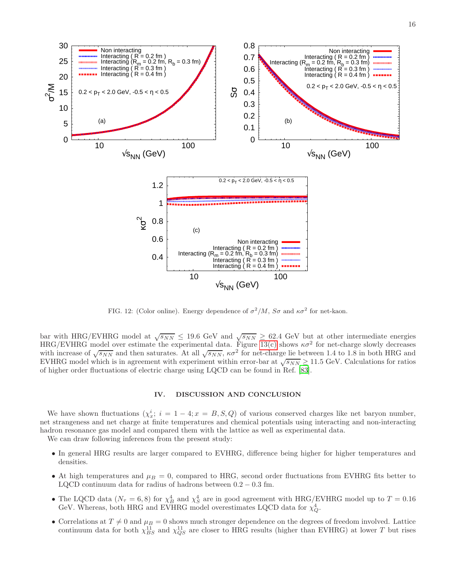<span id="page-15-3"></span><span id="page-15-2"></span>

<span id="page-15-4"></span><span id="page-15-1"></span>FIG. 12: (Color online). Energy dependence of  $\sigma^2/M$ ,  $S\sigma$  and  $\kappa\sigma^2$  for net-kaon.

bar with HRG/EVHRG model at  $\sqrt{s_{NN}} \leq 19.6$  GeV and  $\sqrt{s_{NN}} \geq 62.4$  GeV but at other intermediate energies  $HRG/EVHRG$  model over estimate the experimental data. Figure [13\(c\)](#page-16-3) shows  $\kappa\sigma^2$  for net-charge slowly decreases with increase of  $\sqrt{s_{NN}}$  and then saturates. At all  $\sqrt{s_{NN}}$ ,  $\kappa \sigma^2$  for net-charge lie between 1.4 to 1.8 in both HRG and EVHRG model which is in agreement with experiment within error-bar at  $\sqrt{s_{NN}} \ge 11.5$  GeV. Calculations for ratios of higher order fluctuations of electric charge using LQCD can be found in Ref. [\[83\]](#page-18-42).

## <span id="page-15-0"></span>IV. DISCUSSION AND CONCLUSION

We have shown fluctuations  $(\chi_x^i; i = 1-4; x = B, S, Q)$  of various conserved charges like net baryon number, net strangeness and net charge at finite temperatures and chemical potentials using interacting and non-interacting hadron resonance gas model and compared them with the lattice as well as experimental data.

We can draw following inferences from the present study:

- In general HRG results are larger compared to EVHRG, difference being higher for higher temperatures and densities.
- At high temperatures and  $\mu_B = 0$ , compared to HRG, second order fluctuations from EVHRG fits better to LQCD continuum data for radius of hadrons between  $0.2 - 0.3$  fm.
- The LQCD data  $(N_\tau = 6, 8)$  for  $\chi^4_B$  and  $\chi^4_S$  are in good agreement with HRG/EVHRG model up to  $T = 0.16$ GeV. Whereas, both HRG and EVHRG model overestimates LQCD data for  $\chi^4_Q$ .
- Correlations at  $T \neq 0$  and  $\mu_B = 0$  shows much stronger dependence on the degrees of freedom involved. Lattice continuum data for both  $\chi_{BS}^{11}$  and  $\chi_{QS}^{11}$  are closer to HRG results (higher than EVHRG) at lower T but rises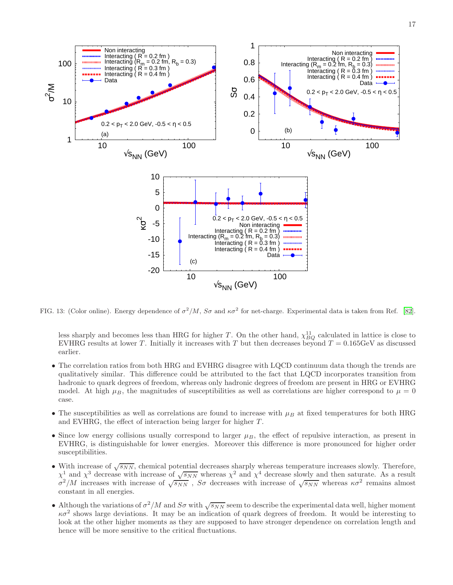<span id="page-16-2"></span><span id="page-16-1"></span>

<span id="page-16-3"></span>FIG. 13: (Color online). Energy dependence of  $\sigma^2/M$ ,  $S\sigma$  and  $\kappa\sigma^2$  for net-charge. Experimental data is taken from Ref. [\[82\]](#page-18-41).

<span id="page-16-0"></span>less sharply and becomes less than HRG for higher T. On the other hand,  $\chi_{BQ}^{11}$  calculated in lattice is close to EVHRG results at lower T. Initially it increases with T but then decreases beyond  $T = 0.165 \text{GeV}$  as discussed earlier.

- The correlation ratios from both HRG and EVHRG disagree with LQCD continuum data though the trends are qualitatively similar. This difference could be attributed to the fact that LQCD incorporates transition from hadronic to quark degrees of freedom, whereas only hadronic degrees of freedom are present in HRG or EVHRG model. At high  $\mu_B$ , the magnitudes of susceptibilities as well as correlations are higher correspond to  $\mu = 0$ case.
- The susceptibilities as well as correlations are found to increase with  $\mu_B$  at fixed temperatures for both HRG and EVHRG, the effect of interaction being larger for higher  $T$ .
- Since low energy collisions usually correspond to larger  $\mu_B$ , the effect of repulsive interaction, as present in EVHRG, is distinguishable for lower energies. Moreover this difference is more pronounced for higher order susceptibilities.
- With increase of  $\sqrt{s_{NN}}$ , chemical potential decreases sharply whereas temperature increases slowly. Therefore,  $\chi^1$  and  $\chi^3$  decrease with increase of  $\sqrt{s_{NN}}$  whereas  $\chi^2$  and  $\chi^4$  decrease slowly and then saturate. As a result  $\sigma^2/M$  increases with increase of  $\sqrt{s_{NN}}$ ,  $S\sigma$  decreases with increase of  $\sqrt{s_{NN}}$  whereas  $\kappa \sigma^2$  remains almost constant in all energies.
- Although the variations of  $\sigma^2/M$  and  $S\sigma$  with  $\sqrt{s_{NN}}$  seem to describe the experimental data well, higher moment  $\kappa\sigma^2$  shows large deviations. It may be an indication of quark degrees of freedom. It would be interesting to look at the other higher moments as they are supposed to have stronger dependence on correlation length and hence will be more sensitive to the critical fluctuations.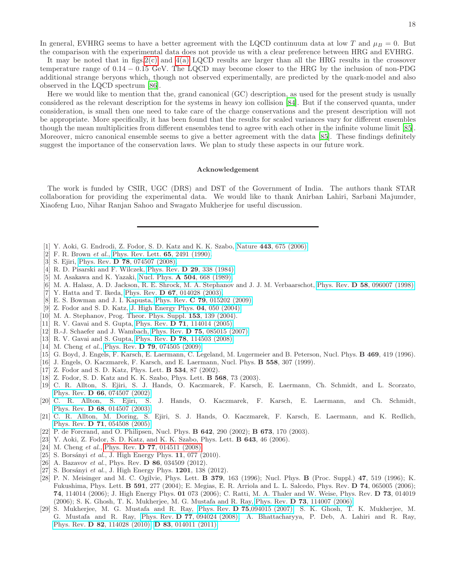In general, EVHRG seems to have a better agreement with the LQCD continuum data at low T and  $\mu_B = 0$ . But the comparison with the experimental data does not provide us with a clear preference between HRG and EVHRG.

It may be noted that in figs.  $2(c)$  and  $4(a)$  LQCD results are larger than all the HRG results in the crossover temperature range of 0.14 − 0.15 GeV. The LQCD may become closer to the HRG by the inclusion of non-PDG additional strange beryons which, though not observed experimentally, are predicted by the quark-model and also observed in the LQCD spectrum [\[86](#page-18-43)].

Here we would like to mention that the, grand canonical (GC) description, as used for the present study is usually considered as the relevant description for the systems in heavy ion collision [\[84\]](#page-18-44). But if the conserved quanta, under consideration, is small then one need to take care of the charge conservations and the present description will not be appropriate. More specifically, it has been found that the results for scaled variances vary for different ensembles though the mean multiplicities from different ensembles tend to agree with each other in the infinite volume limit [\[85\]](#page-18-45). Moreover, micro canonical ensemble seems to give a better agreement with the data [\[85\]](#page-18-45). These findings definitely suggest the importance of the conservation laws. We plan to study these aspects in our future work.

# Acknowledgement

The work is funded by CSIR, UGC (DRS) and DST of the Government of India. The authors thank STAR collaboration for providing the experimental data. We would like to thank Anirban Lahiri, Sarbani Majumder, Xiaofeng Luo, Nihar Ranjan Sahoo and Swagato Mukherjee for useful discussion.

- <span id="page-17-0"></span>[1] Y. Aoki, G. Endrodi, Z. Fodor, S. D. Katz and K. K. Szabo, Nature 443[, 675 \(2006\).](http://www.nature.com/nature/journal/v443/n7112/full/nature05120.html)
- <span id="page-17-1"></span>[2] F. R. Brown et al., [Phys. Rev. Lett.](http://prl.aps.org/abstract/PRL/v65/i20/p2491_1) **65**, 2491 (1990).
- <span id="page-17-2"></span>[3] S. Ejiri, Phys. Rev. **D 78**[, 074507 \(2008\).](http://prd.aps.org/abstract/PRD/v78/i7/e074507)
- [4] R. D. Pisarski and F. Wilczek, Phys. Rev. D 29[, 338 \(1984\).](http://prd.aps.org/abstract/PRD/v29/i2/p338_1])
- [5] M. Asakawa and K. Yazaki, Nucl. Phys. A 504[, 668 \(1989\).](http://www.sciencedirect.com/science/article/pii/037594748990002X)
- [6] M. A. Halasz, A. D. Jackson, R. E. Shrock, M. A. Stephanov and J. J. M. Verbaarschot, Phys. Rev. D 58[, 096007 \(1998\).](http://prd.aps.org/abstract/PRD/v58/i9/e096007)
- [7] Y. Hatta and T. Ikeda, Phys. Rev. **D 67**[, 014028 \(2003\).](http://prd.aps.org/abstract/PRD/v67/i1/e014028)
- <span id="page-17-3"></span>[8] E. S. Bowman and J. I. Kapusta, Phys. Rev. **C 79**[, 015202 \(2009\).](http://prc.aps.org/pdf/PRC/v79/i1/e015202)
- <span id="page-17-4"></span>[9] Z. Fodor and S. D. Katz, [J. High Energy Phys.](http://iopscience.iop.org/1126-6708/2004/04/050/pdf/1126-6708_2004_04_050.pdf) 04, 050 (2004).
- [10] M. A. Stephanov, Prog. Theor. Phys. Suppl. **153**, 139 (2004).
- [11] R. V. Gavai and S. Gupta, Phys. Rev. **D 71**[, 114014 \(2005\).](http://prd.aps.org/abstract/PRD/v71/i11/e114014)
- <span id="page-17-5"></span>[12] B.-J. Schaefer and J. Wambach, Phys. Rev. D 75[, 085015 \(2007\).](http://prd.aps.org/abstract/PRD/v75/i8/e085015)
- <span id="page-17-6"></span>[13] R. V. Gavai and S. Gupta, Phys. Rev. **D 78**[, 114503 \(2008\).](http://prd.aps.org/abstract/PRD/v78/i11/e114503)
- [14] M. Cheng et al., Phys. Rev. **D 79**[, 074505 \(2009\).](http://prd.aps.org/pdf/PRD/v79/i7/e074505)
- [15] G. Boyd, J. Engels, F. Karsch, E. Laermann, C. Legeland, M. Lugermeier and B. Peterson, Nucl. Phys. **B 469**, 419 (1996).
- [16] J. Engels, O. Kaczmarek, F. Karsch, and E. Laermann, Nucl. Phys. B 558, 307 (1999).
- [17] Z. Fodor and S. D. Katz, Phys. Lett. **B 534**, 87 (2002).
- [18] Z. Fodor, S. D. Katz and K. K. Szabo, Phys. Lett. **B 568**, 73 (2003).
- [19] C. R. Allton, S. Ejiri, S. J. Hands, O. Kaczmarek, F. Karsch, E. Laermann, Ch. Schmidt, and L. Scorzato, Phys. Rev. D 66[, 074507 \(2002\).](http://prd.aps.org/abstract/PRD/v66/i7/e074507)
- [20] C. R. Allton, S. Ejiri, S. J. Hands, O. Kaczmarek, F. Karsch, E. Laermann, and Ch. Schmidt, Phys. Rev. D 68[, 014507 \(2003\).](http://prd.aps.org/abstract/PRD/v68/i1/e014507)
- [21] C. R. Allton, M. Doring, S. Ejiri, S. J. Hands, O. Kaczmarek, F. Karsch, E. Laermann, and K. Redlich, Phys. Rev. D 71[, 054508 \(2005\).](http://prd.aps.org/abstract/PRD/v71/i5/e054508)
- [22] P. de Forcrand, and O. Philipsen, Nucl. Phys. B 642, 290 (2002); B 673, 170 (2003).
- [23] Y. Aoki, Z. Fodor, S. D. Katz, and K. K. Szabo, Phys. Lett. B 643, 46 (2006).
- [24] M. Cheng et al., Phys. Rev. D  $77$ , 014511 (2008).
- <span id="page-17-10"></span>[25] S. Borsányi et al., J. High Energy Phys.  $11$ , 077 (2010).
- <span id="page-17-11"></span>[26] A. Bazavov et al., Phys. Rev. D  $86$ , 034509 (2012).
- <span id="page-17-7"></span>[27] S. Borsányi et al., J. High Energy Phys. 1201, 138 (2012).
- <span id="page-17-8"></span>[28] P. N. Meisinger and M. C. Ogilvie, Phys. Lett. B 379, 163 (1996); Nucl. Phys. B (Proc. Suppl.) 47, 519 (1996); K. Fukushima, Phys. Lett. B 591, 277 (2004); E. Megias, E. R. Arriola and L. L. Salcedo, Phys. Rev. D 74, 065005 (2006); 74, 114014 (2006); J. High Energy Phys. 01 073 (2006); C. Ratti, M. A. Thaler and W. Weise, Phys. Rev. D 73, 014019 (2006); S. K. Ghosh, T. K. Mukherjee, M. G. Mustafa and R. Ray, Phys. Rev. D 73[, 114007 \(2006\).](http://prd.aps.org/abstract/PRD/v73/i11/e114007)
- <span id="page-17-9"></span>[29] S. Mukherjee, M. G. Mustafa and R. Ray, Phys. Rev. D 75[,094015 \(2007\);](http://prd.aps.org/abstract/PRD/v75/i9/e094015) S. K. Ghosh, T. K. Mukherjee, M. G. Mustafa and R. Ray, Phys. Rev. D 77[, 094024 \(2008\);](http://prd.aps.org/abstract/PRD/v77/i9/e094024) A. Bhattacharyya, P. Deb, A. Lahiri and R. Ray, Phys. Rev. D 82[, 114028 \(2010\);](http://prd.aps.org/abstract/PRD/v82/i11/e114028) D 83[, 014011 \(2011\).](http://prd.aps.org/abstract/PRD/v83/i1/e014011)